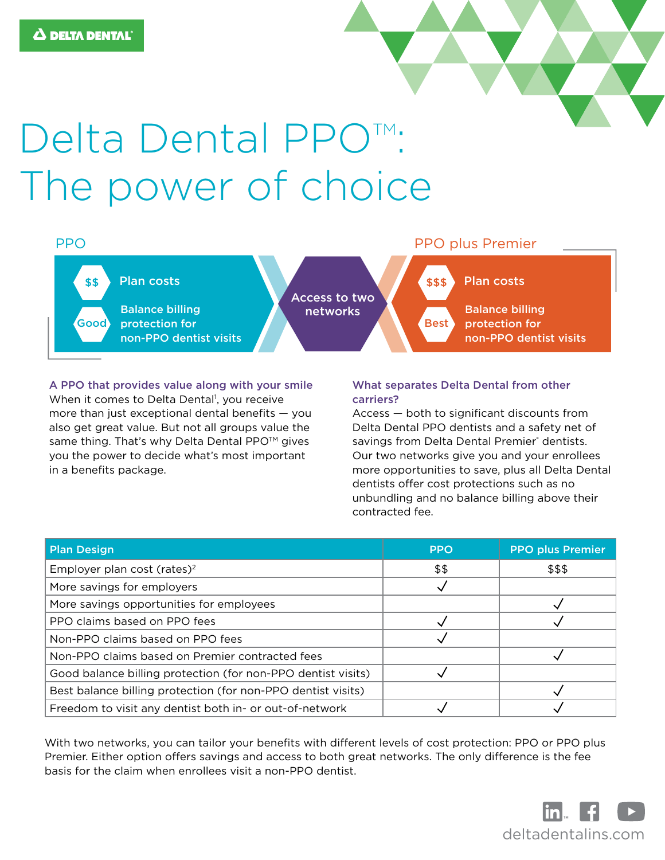# Delta Dental PPO<sup>™</sup>: The power of choice



A PPO that provides value along with your smile When it comes to Delta Dental<sup>1</sup>, you receive more than just exceptional dental benefits — you also get great value. But not all groups value the same thing. That's why Delta Dental PPO<sup>™</sup> gives you the power to decide what's most important in a benefits package.

## What separates Delta Dental from other carriers?

Access — both to significant discounts from Delta Dental PPO dentists and a safety net of savings from Delta Dental Premier® dentists. Our two networks give you and your enrollees more opportunities to save, plus all Delta Dental dentists offer cost protections such as no unbundling and no balance billing above their contracted fee.

| <b>Plan Design</b>                                           | <b>PPO</b> | <b>PPO plus Premier</b> |
|--------------------------------------------------------------|------------|-------------------------|
| Employer plan cost (rates) <sup>2</sup>                      | \$\$       | \$\$\$                  |
| More savings for employers                                   |            |                         |
| More savings opportunities for employees                     |            |                         |
| PPO claims based on PPO fees                                 |            |                         |
| Non-PPO claims based on PPO fees                             |            |                         |
| Non-PPO claims based on Premier contracted fees              |            |                         |
| Good balance billing protection (for non-PPO dentist visits) |            |                         |
| Best balance billing protection (for non-PPO dentist visits) |            |                         |
| Freedom to visit any dentist both in- or out-of-network      |            |                         |

With two networks, you can tailor your benefits with different levels of cost protection: PPO or PPO plus Premier. Either option offers savings and access to both great networks. The only difference is the fee basis for the claim when enrollees visit a non-PPO dentist.